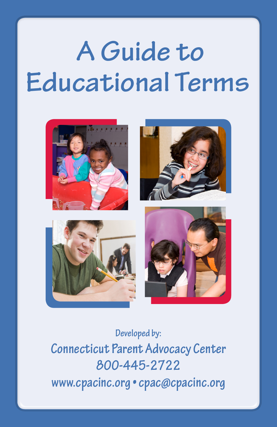# **A Guide to Educational Terms**









**Developed by: Connecticut Parent Advocacy Center 800-445-2722 www.cpacinc.org • cpac@cpacinc.org**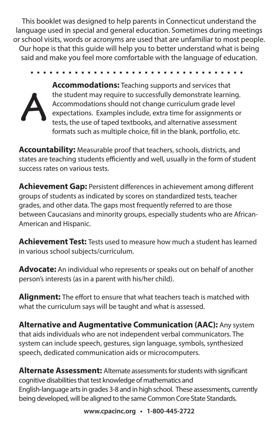This booklet was designed to help parents in Connecticut understand the language used in special and general education. Sometimes during meetings or school visits, words or acronyms are used that are unfamiliar to most people. Our hope is that this guide will help you to better understand what is being said and make you feel more comfortable with the language of education.



**Accommodations:** Teaching supports and services that the student may require to successfully demonstrate learning. Accommodations should not change curriculum grade level expectations. Examples include, extra time for assignments or tests, the use of taped textbooks, and alternative assessment formats such as multiple choice, fill in the blank, portfolio, etc.

**Accountability:** Measurable proof that teachers, schools, districts, and states are teaching students efficiently and well, usually in the form of student success rates on various tests.

**Achievement Gap:** Persistent differences in achievement among different groups of students as indicated by scores on standardized tests, teacher grades, and other data. The gaps most frequently referred to are those between Caucasians and minority groups, especially students who are African-American and Hispanic.

**Achievement Test:** Tests used to measure how much a student has learned in various school subjects/curriculum.

**Advocate:** An individual who represents or speaks out on behalf of another person's interests (as in a parent with his/her child).

**Alignment:** The effort to ensure that what teachers teach is matched with what the curriculum says will be taught and what is assessed.

**Alternative and Augmentative Communication (AAC):** Any system that aids individuals who are not independent verbal communicators. The system can include speech, gestures, sign language, symbols, synthesized speech, dedicated communication aids or microcomputers.

**Alternate Assessment:** Alternate assessments for students with significant cognitive disabilities that test knowledge of mathematics and English-language arts in grades 3-8 and in high school. These assessments, currently being developed, will be aligned to the same Common Core State Standards.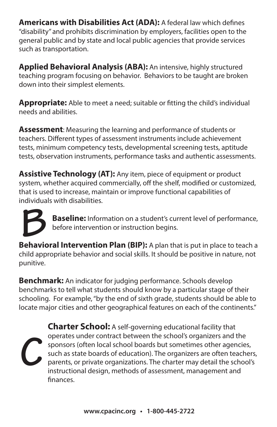**Americans with Disabilities Act (ADA):** A federal law which defines "disability" and prohibits discrimination by employers, facilities open to the general public and by state and local public agencies that provide services such as transportation.

**Applied Behavioral Analysis (ABA):** An intensive, highly structured teaching program focusing on behavior. Behaviors to be taught are broken down into their simplest elements.

**Appropriate:** Able to meet a need; suitable or fitting the child's individual needs and abilities.

**Assessment**: Measuring the learning and performance of students or teachers. Different types of assessment instruments include achievement tests, minimum competency tests, developmental screening tests, aptitude tests, observation instruments, performance tasks and authentic assessments.

**Assistive Technology (AT):** Any item, piece of equipment or product system, whether acquired commercially, off the shelf, modified or customized, that is used to increase, maintain or improve functional capabilities of individuals with disabilities.



**Baseline:** Information on a student's current level of performance, before intervention or instruction begins. **Baseline:** Information on a student's current level of performance, before intervention or instruction begins.<br> **Behavioral Intervention Plan (BIP):** A plan that is put in place to teach a

child appropriate behavior and social skills. It should be positive in nature, not punitive.

**Benchmark:** An indicator for judging performance. Schools develop benchmarks to tell what students should know by a particular stage of their schooling. For example, "by the end of sixth grade, students should be able to locate major cities and other geographical features on each of the continents."

**Charter School:** A self-governing educational facility that operates under contract between the school's organizers and the sponsors (often local school boards but sometimes other agencies, such as state boards of education). The organizers are often teachers, parents, or private organizations. The charter may detail the school's instructional design, methods of assessment, management and finances. **C**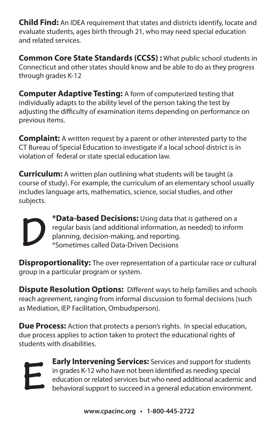**Child Find:** An IDEA requirement that states and districts identify, locate and evaluate students, ages birth through 21, who may need special education and related services.

**Common Core State Standards (CCSS) :** What public school students in Connecticut and other states should know and be able to do as they progress through grades K-12

**Computer Adaptive Testing:** A form of computerized testing that individually adapts to the ability level of the person taking the test by adjusting the difficulty of examination items depending on performance on previous items.

**Complaint:** A written request by a parent or other interested party to the CT Bureau of Special Education to investigate if a local school district is in violation of federal or state special education law.

**Curriculum:** A written plan outlining what students will be taught (a course of study). For example, the curriculum of an elementary school usually includes language arts, mathematics, science, social studies, and other subjects.



**\*Data-based Decisions:** Using data that is gathered on a regular basis (and additional information, as needed) to inform planning, decision-making, and reporting. \*Sometimes called Data-Driven Decisions

**Disproportionality:** The over representation of a particular race or cultural group in a particular program or system.

**Dispute Resolution Options:** Different ways to help families and schools reach agreement, ranging from informal discussion to formal decisions (such as Mediation, IEP Facilitation, Ombudsperson).

**Due Process:** Action that protects a person's rights. In special education, due process applies to action taken to protect the educational rights of students with disabilities.



**Early Intervening Services:** Services and support for students in grades K-12 who have not been identified as needing special education or related services but who need additional academic and **behavioral support to succeed in a general education environment.**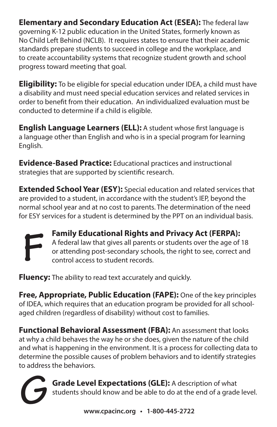**Elementary and Secondary Education Act (ESEA):** The federal law governing K-12 public education in the United States, formerly known as No Child Left Behind (NCLB). It requires states to ensure that their academic standards prepare students to succeed in college and the workplace, and to create accountability systems that recognize student growth and school progress toward meeting that goal.

**Eligibility:** To be eligible for special education under IDEA, a child must have a disability and must need special education services and related services in order to benefit from their education. An individualized evaluation must be conducted to determine if a child is eligible.

**English Language Learners (ELL):** A student whose first language is a language other than English and who is in a special program for learning English.

**Evidence-Based Practice:** Educational practices and instructional strategies that are supported by scientific research.

**Extended School Year (ESY):** Special education and related services that are provided to a student, in accordance with the student's IEP, beyond the normal school year and at no cost to parents. The determination of the need for ESY services for a student is determined by the PPT on an individual basis.



**Family Educational Rights and Privacy Act (FERPA):**  A federal law that gives all parents or students over the age of 18 or attending post-secondary schools, the right to see, correct and control access to student records.

**Fluency:** The ability to read text accurately and quickly.

**Free, Appropriate, Public Education (FAPE):** One of the key principles of IDEA, which requires that an education program be provided for all schoolaged children (regardless of disability) without cost to families.

**Functional Behavioral Assessment (FBA):** An assessment that looks at why a child behaves the way he or she does, given the nature of the child and what is happening in the environment. It is a process for collecting data to determine the possible causes of problem behaviors and to identify strategies to address the behaviors.

**Grade Level Expectations (GLE):** A description of what students should know and be able to do at the end of a grade level. **G**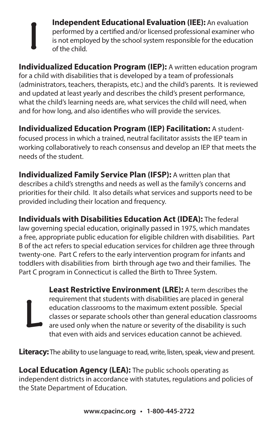**Independent Educational Evaluation (IEE):** An evaluation performed by a certified and/or licensed professional examiner who is not employed by the school system responsible for the education of the child.

**Individualized Education Program (IEP):** A written education program for a child with disabilities that is developed by a team of professionals (administrators, teachers, therapists, etc.) and the child's parents. It is reviewed and updated at least yearly and describes the child's present performance, what the child's learning needs are, what services the child will need, when and for how long, and also identifies who will provide the services.

**I**

**L**

**Individualized Education Program (IEP) Facilitation:** A studentfocused process in which a trained, neutral facilitator assists the IEP team in working collaboratively to reach consensus and develop an IEP that meets the needs of the student.

**Individualized Family Service Plan (IFSP):** A written plan that describes a child's strengths and needs as well as the family's concerns and priorities for their child. It also details what services and supports need to be provided including their location and frequency.

**Individuals with Disabilities Education Act (IDEA):** The federal law governing special education, originally passed in 1975, which mandates a free, appropriate public education for eligible children with disabilities. Part B of the act refers to special education services for children age three through twenty-one. Part C refers to the early intervention program for infants and toddlers with disabilities from birth through age two and their families. The Part C program in Connecticut is called the Birth to Three System.

> **Least Restrictive Environment (LRE):** A term describes the requirement that students with disabilities are placed in general education classrooms to the maximum extent possible. Special classes or separate schools other than general education classrooms are used only when the nature or severity of the disability is such that even with aids and services education cannot be achieved.

**Literacy:** The ability to use language to read, write, listen, speak, view and present.

**Local Education Agency (LEA):** The public schools operating as independent districts in accordance with statutes, regulations and policies of the State Department of Education.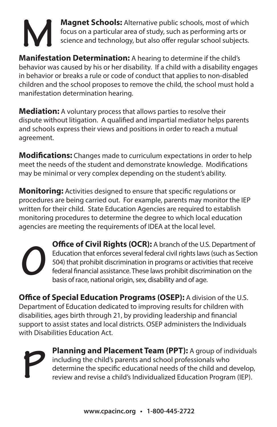

**Magnet Schools:** Alternative public schools, most of which focus on a particular area of study, such as performing arts or science and technology, but also offer regular school subjects.

**Manifestation Determination:** A hearing to determine if the child's behavior was caused by his or her disability. If a child with a disability engages in behavior or breaks a rule or code of conduct that applies to non-disabled children and the school proposes to remove the child, the school must hold a manifestation determination hearing.

**Mediation:** A voluntary process that allows parties to resolve their dispute without litigation. A qualified and impartial mediator helps parents and schools express their views and positions in order to reach a mutual agreement.

**Modifications:** Changes made to curriculum expectations in order to help meet the needs of the student and demonstrate knowledge. Modifications may be minimal or very complex depending on the student's ability.

**Monitoring:** Activities designed to ensure that specific regulations or procedures are being carried out. For example, parents may monitor the IEP written for their child. State Education Agencies are required to establish monitoring procedures to determine the degree to which local education agencies are meeting the requirements of IDEA at the local level.

**Office of Civil Rights (OCR):** A branch of the U.S. Department of Education that enforces several federal civil rights laws (such as Section 504) that prohibit discrimination in programs or activities that receive federal financial assistance. These laws prohibit discrimination on the basis of race, national origin, sex, disability and of age. **O**

**Office of Special Education Programs (OSEP):** A division of the U.S. Department of Education dedicated to improving results for children with disabilities, ages birth through 21, by providing leadership and financial support to assist states and local districts. OSEP administers the Individuals with Disabilities Education Act.

**P**

**Planning and Placement Team (PPT):** A group of individuals including the child's parents and school professionals who determine the specific educational needs of the child and develop, review and revise a child's Individualized Education Program (IEP).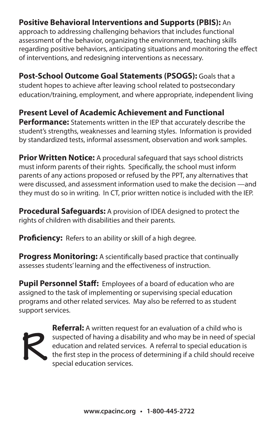#### **Positive Behavioral Interventions and Supports (PBIS):** An

approach to addressing challenging behaviors that includes functional assessment of the behavior, organizing the environment, teaching skills regarding positive behaviors, anticipating situations and monitoring the effect of interventions, and redesigning interventions as necessary.

**Post-School Outcome Goal Statements (PSOGS):** Goals that a student hopes to achieve after leaving school related to postsecondary education/training, employment, and where appropriate, independent living

**Present Level of Academic Achievement and Functional Performance:** Statements written in the IEP that accurately describe the student's strengths, weaknesses and learning styles. Information is provided by standardized tests, informal assessment, observation and work samples.

**Prior Written Notice:** A procedural safequard that says school districts must inform parents of their rights. Specifically, the school must inform parents of any actions proposed or refused by the PPT, any alternatives that were discussed, and assessment information used to make the decision —and they must do so in writing. In CT, prior written notice is included with the IEP.

**Procedural Safeguards:** A provision of IDEA designed to protect the rights of children with disabilities and their parents.

**Proficiency:** Refers to an ability or skill of a high degree.

**Progress Monitoring:** A scientifically based practice that continually assesses students' learning and the effectiveness of instruction.

**Pupil Personnel Staff:** Employees of a board of education who are assigned to the task of implementing or supervising special education programs and other related services. May also be referred to as student support services.



**Referral:** A written request for an evaluation of a child who is suspected of having a disability and who may be in need of special education and related services. A referral to special education is the first step in the process of determining if a child should receive **R** special education services.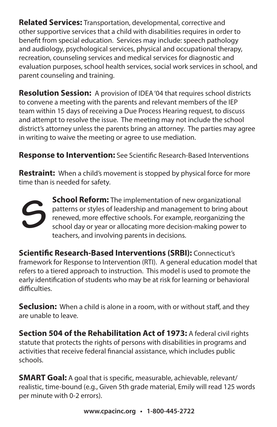**Related Services:** Transportation, developmental, corrective and other supportive services that a child with disabilities requires in order to benefit from special education. Services may include: speech pathology and audiology, psychological services, physical and occupational therapy, recreation, counseling services and medical services for diagnostic and evaluation purposes, school health services, social work services in school, and parent counseling and training.

**Resolution Session:** A provision of IDEA '04 that requires school districts to convene a meeting with the parents and relevant members of the IEP team within 15 days of receiving a Due Process Hearing request, to discuss and attempt to resolve the issue. The meeting may not include the school district's attorney unless the parents bring an attorney. The parties may agree in writing to waive the meeting or agree to use mediation.

**Response to Intervention:** See Scientific Research-Based Interventions

**Restraint:** When a child's movement is stopped by physical force for more time than is needed for safety.



**School Reform:** The implementation of new organizational patterns or styles of leadership and management to bring about renewed, more effective schools. For example, reorganizing the school day or year or allocating more decision-making power to teachers, and involving parents in decisions.

**Scientific Research-Based Interventions (SRBI):** Connecticut's framework for Response to Intervention (RTI). A general education model that refers to a tiered approach to instruction. This model is used to promote the early identification of students who may be at risk for learning or behavioral difficulties.

**Seclusion:** When a child is alone in a room, with or without staff, and they are unable to leave.

**Section 504 of the Rehabilitation Act of 1973: A federal civil rights** statute that protects the rights of persons with disabilities in programs and activities that receive federal financial assistance, which includes public schools.

**SMART Goal:** A goal that is specific, measurable, achievable, relevant/ realistic, time-bound (e.g., Given 5th grade material, Emily will read 125 words per minute with 0-2 errors).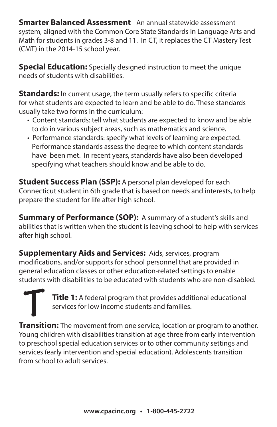**Smarter Balanced Assessment** - An annual statewide assessment system, aligned with the Common Core State Standards in Language Arts and Math for students in grades 3-8 and 11. In CT, it replaces the CT Mastery Test (CMT) in the 2014-15 school year.

**Special Education:** Specially designed instruction to meet the unique needs of students with disabilities.

**Standards:** In current usage, the term usually refers to specific criteria for what students are expected to learn and be able to do. These standards usually take two forms in the curriculum:

- Content standards: tell what students are expected to know and be able to do in various subject areas, such as mathematics and science.
- Performance standards: specify what levels of learning are expected. Performance standards assess the degree to which content standards have been met. In recent years, standards have also been developed specifying what teachers should know and be able to do.

**Student Success Plan (SSP):** A personal plan developed for each Connecticut student in 6th grade that is based on needs and interests, to help prepare the student for life after high school.

**Summary of Performance (SOP):** A summary of a student's skills and abilities that is written when the student is leaving school to help with services after high school.

**Supplementary Aids and Services:** Aids, services, program modifications, and/or supports for school personnel that are provided in general education classes or other education-related settings to enable students with disabilities to be educated with students who are non-disabled.

**Title 1:** A federal program that provides additional educational services for low income students and families. **Title 1:** A federal program that provides additional educational services for low income students and families.<br> **Transition:** The movement from one service, location or program to another.

Young children with disabilities transition at age three from early intervention to preschool special education services or to other community settings and services (early intervention and special education). Adolescents transition from school to adult services.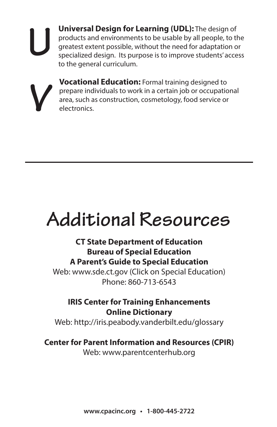**Universal Design for Learning (UDL):** The design of products and environments to be usable by all people, to the greatest extent possible, without the need for adaptation or specialized design. Its purpose is to improve students' access to the general curriculum.



**U**

**Vocational Education:** Formal training designed to prepare individuals to work in a certain job or occupational area, such as construction, cosmetology, food service or electronics.

## **Additional Resources**

#### **CT State Department of Education Bureau of Special Education A Parent's Guide to Special Education**

Web: www.sde.ct.gov (Click on Special Education) Phone: 860-713-6543

#### **IRIS Center for Training Enhancements Online Dictionary**

Web: http://iris.peabody.vanderbilt.edu/glossary

#### **Center for Parent Information and Resources (CPIR)**

Web: www.parentcenterhub.org